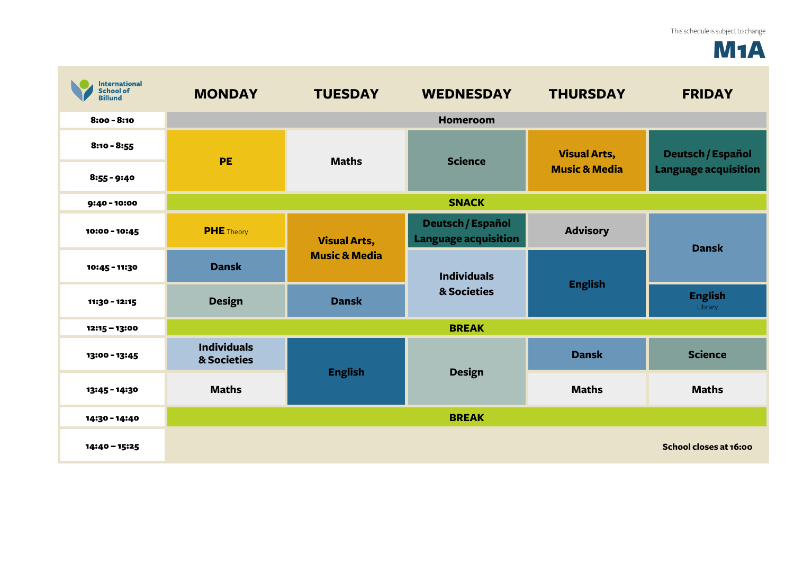## M1A

| <b>International</b><br><b>School of</b><br><b>Billund</b> | <b>MONDAY</b>                     | <b>TUESDAY</b>                                                  | <b>WEDNESDAY</b>                                        | <b>THURSDAY</b>                                 | <b>FRIDAY</b>                                           |
|------------------------------------------------------------|-----------------------------------|-----------------------------------------------------------------|---------------------------------------------------------|-------------------------------------------------|---------------------------------------------------------|
| 8:00 - 8:10                                                | <b>Homeroom</b>                   |                                                                 |                                                         |                                                 |                                                         |
| $8:10 - 8:55$                                              | PE                                | <b>Maths</b>                                                    | <b>Science</b>                                          | <b>Visual Arts,</b><br><b>Music &amp; Media</b> | <b>Deutsch / Español</b><br><b>Language acquisition</b> |
| $8:55 - 9:40$                                              |                                   |                                                                 |                                                         |                                                 |                                                         |
| 9:40 - 10:00                                               | <b>SNACK</b>                      |                                                                 |                                                         |                                                 |                                                         |
| 10:00 - 10:45                                              | <b>PHE</b> Theory                 | <b>Visual Arts,</b><br><b>Music &amp; Media</b><br><b>Dansk</b> | <b>Deutsch / Español</b><br><b>Language acquisition</b> | <b>Advisory</b>                                 | <b>Dansk</b>                                            |
| 10:45 - 11:30                                              | <b>Dansk</b>                      |                                                                 | <b>Individuals</b>                                      | <b>English</b>                                  |                                                         |
| 11:30 - 12:15                                              | <b>Design</b>                     |                                                                 | & Societies                                             |                                                 | <b>English</b><br>Library                               |
| 12:15 - 13:00                                              | <b>BREAK</b>                      |                                                                 |                                                         |                                                 |                                                         |
| 13:00 - 13:45                                              | <b>Individuals</b><br>& Societies | <b>English</b>                                                  | <b>Design</b>                                           | <b>Dansk</b>                                    | <b>Science</b>                                          |
| 13:45 - 14:30                                              | <b>Maths</b>                      |                                                                 |                                                         | <b>Maths</b>                                    | <b>Maths</b>                                            |
| 14:30 - 14:40                                              |                                   |                                                                 | <b>BREAK</b>                                            |                                                 |                                                         |
| 14:40 - 15:25                                              |                                   |                                                                 |                                                         |                                                 | School closes at 16:00                                  |